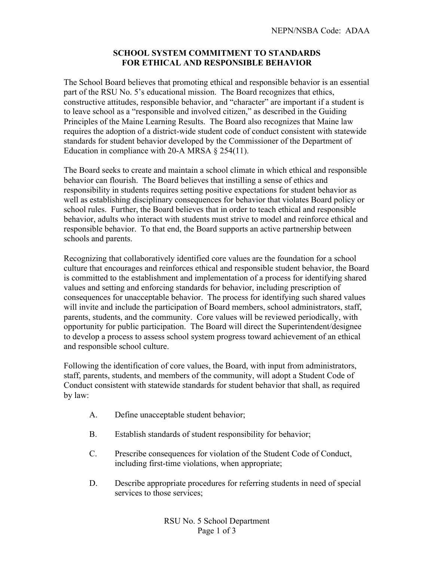## **SCHOOL SYSTEM COMMITMENT TO STANDARDS FOR ETHICAL AND RESPONSIBLE BEHAVIOR**

The School Board believes that promoting ethical and responsible behavior is an essential part of the RSU No. 5's educational mission. The Board recognizes that ethics, constructive attitudes, responsible behavior, and "character" are important if a student is to leave school as a "responsible and involved citizen," as described in the Guiding Principles of the Maine Learning Results. The Board also recognizes that Maine law requires the adoption of a district-wide student code of conduct consistent with statewide standards for student behavior developed by the Commissioner of the Department of Education in compliance with 20-A MRSA  $\S$  254(11).

The Board seeks to create and maintain a school climate in which ethical and responsible behavior can flourish. The Board believes that instilling a sense of ethics and responsibility in students requires setting positive expectations for student behavior as well as establishing disciplinary consequences for behavior that violates Board policy or school rules. Further, the Board believes that in order to teach ethical and responsible behavior, adults who interact with students must strive to model and reinforce ethical and responsible behavior. To that end, the Board supports an active partnership between schools and parents.

Recognizing that collaboratively identified core values are the foundation for a school culture that encourages and reinforces ethical and responsible student behavior, the Board is committed to the establishment and implementation of a process for identifying shared values and setting and enforcing standards for behavior, including prescription of consequences for unacceptable behavior. The process for identifying such shared values will invite and include the participation of Board members, school administrators, staff, parents, students, and the community. Core values will be reviewed periodically, with opportunity for public participation. The Board will direct the Superintendent/designee to develop a process to assess school system progress toward achievement of an ethical and responsible school culture.

Following the identification of core values, the Board, with input from administrators, staff, parents, students, and members of the community, will adopt a Student Code of Conduct consistent with statewide standards for student behavior that shall, as required by law:

- A. Define unacceptable student behavior;
- B. Establish standards of student responsibility for behavior;
- C. Prescribe consequences for violation of the Student Code of Conduct, including first-time violations, when appropriate;
- D. Describe appropriate procedures for referring students in need of special services to those services;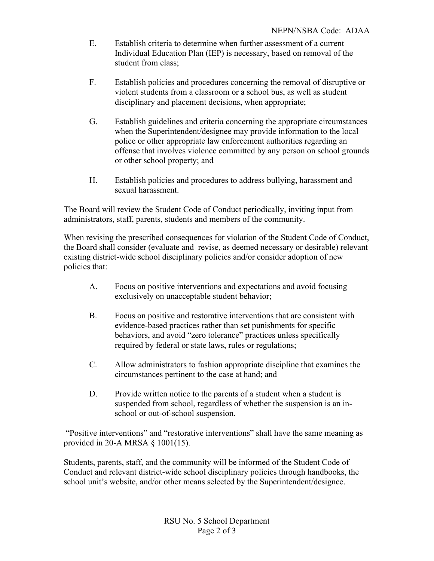- E. Establish criteria to determine when further assessment of a current Individual Education Plan (IEP) is necessary, based on removal of the student from class;
- F. Establish policies and procedures concerning the removal of disruptive or violent students from a classroom or a school bus, as well as student disciplinary and placement decisions, when appropriate;
- G. Establish guidelines and criteria concerning the appropriate circumstances when the Superintendent/designee may provide information to the local police or other appropriate law enforcement authorities regarding an offense that involves violence committed by any person on school grounds or other school property; and
- H. Establish policies and procedures to address bullying, harassment and sexual harassment.

The Board will review the Student Code of Conduct periodically, inviting input from administrators, staff, parents, students and members of the community.

When revising the prescribed consequences for violation of the Student Code of Conduct, the Board shall consider (evaluate and revise, as deemed necessary or desirable) relevant existing district-wide school disciplinary policies and/or consider adoption of new policies that:

- A. Focus on positive interventions and expectations and avoid focusing exclusively on unacceptable student behavior;
- B. Focus on positive and restorative interventions that are consistent with evidence-based practices rather than set punishments for specific behaviors, and avoid "zero tolerance" practices unless specifically required by federal or state laws, rules or regulations;
- C. Allow administrators to fashion appropriate discipline that examines the circumstances pertinent to the case at hand; and
- D. Provide written notice to the parents of a student when a student is suspended from school, regardless of whether the suspension is an inschool or out-of-school suspension.

"Positive interventions" and "restorative interventions" shall have the same meaning as provided in 20-A MRSA § 1001(15).

Students, parents, staff, and the community will be informed of the Student Code of Conduct and relevant district-wide school disciplinary policies through handbooks, the school unit's website, and/or other means selected by the Superintendent/designee.